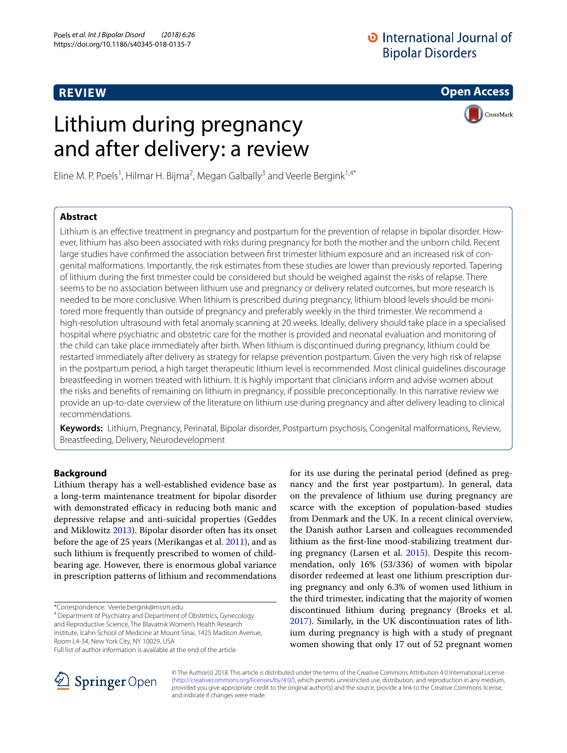# **REVIEW**

**Open Access**

.<br>CrossMark

# Lithium during pregnancy and after delivery: a review

Eline M. P. Poels<sup>1</sup>, Hilmar H. Bijma<sup>2</sup>, Megan Galbally<sup>3</sup> and Veerle Bergink<sup>1,4\*</sup>

# **Abstract**

Lithium is an efective treatment in pregnancy and postpartum for the prevention of relapse in bipolar disorder. However, lithium has also been associated with risks during pregnancy for both the mother and the unborn child. Recent large studies have confrmed the association between frst trimester lithium exposure and an increased risk of congenital malformations. Importantly, the risk estimates from these studies are lower than previously reported. Tapering of lithium during the frst trimester could be considered but should be weighed against the risks of relapse. There seems to be no association between lithium use and pregnancy or delivery related outcomes, but more research is needed to be more conclusive. When lithium is prescribed during pregnancy, lithium blood levels should be monitored more frequently than outside of pregnancy and preferably weekly in the third trimester. We recommend a high-resolution ultrasound with fetal anomaly scanning at 20 weeks. Ideally, delivery should take place in a specialised hospital where psychiatric and obstetric care for the mother is provided and neonatal evaluation and monitoring of the child can take place immediately after birth. When lithium is discontinued during pregnancy, lithium could be restarted immediately after delivery as strategy for relapse prevention postpartum. Given the very high risk of relapse in the postpartum period, a high target therapeutic lithium level is recommended. Most clinical guidelines discourage breastfeeding in women treated with lithium. It is highly important that clinicians inform and advise women about the risks and benefts of remaining on lithium in pregnancy, if possible preconceptionally. In this narrative review we provide an up-to-date overview of the literature on lithium use during pregnancy and after delivery leading to clinical recommendations.

**Keywords:** Lithium, Pregnancy, Perinatal, Bipolar disorder, Postpartum psychosis, Congenital malformations, Review, Breastfeeding, Delivery, Neurodevelopment

# **Background**

Lithium therapy has a well-established evidence base as a long-term maintenance treatment for bipolar disorder with demonstrated efficacy in reducing both manic and depressive relapse and anti-suicidal properties (Geddes and Miklowitz [2013](#page-10-0)). Bipolar disorder often has its onset before the age of 25 years (Merikangas et al. [2011\)](#page-10-1), and as such lithium is frequently prescribed to women of childbearing age. However, there is enormous global variance in prescription patterns of lithium and recommendations

<sup>4</sup> Department of Psychiatry and Department of Obstetrics, Gynecology and Reproductive Science, The Blavatnik Women's Health Research Institute, Icahn School of Medicine at Mount Sinai, 1425 Madison Avenue, Room L4-34, New York City, NY 10029, USA

Full list of author information is available at the end of the article

for its use during the perinatal period (defned as pregnancy and the frst year postpartum). In general, data on the prevalence of lithium use during pregnancy are scarce with the exception of population-based studies from Denmark and the UK. In a recent clinical overview, the Danish author Larsen and colleagues recommended lithium as the frst-line mood-stabilizing treatment during pregnancy (Larsen et al. [2015](#page-10-2)). Despite this recommendation, only 16% (53/336) of women with bipolar disorder redeemed at least one lithium prescription during pregnancy and only 6.3% of women used lithium in the third trimester, indicating that the majority of women discontinued lithium during pregnancy (Broeks et al. [2017](#page-9-0)). Similarly, in the UK discontinuation rates of lithium during pregnancy is high with a study of pregnant women showing that only 17 out of 52 pregnant women



© The Author(s) 2018. This article is distributed under the terms of the Creative Commons Attribution 4.0 International License [\(http://creativecommons.org/licenses/by/4.0/\)](http://creativecommons.org/licenses/by/4.0/), which permits unrestricted use, distribution, and reproduction in any medium, provided you give appropriate credit to the original author(s) and the source, provide a link to the Creative Commons license, and indicate if changes were made.

<sup>\*</sup>Correspondence: Veerle.bergink@mssm.edu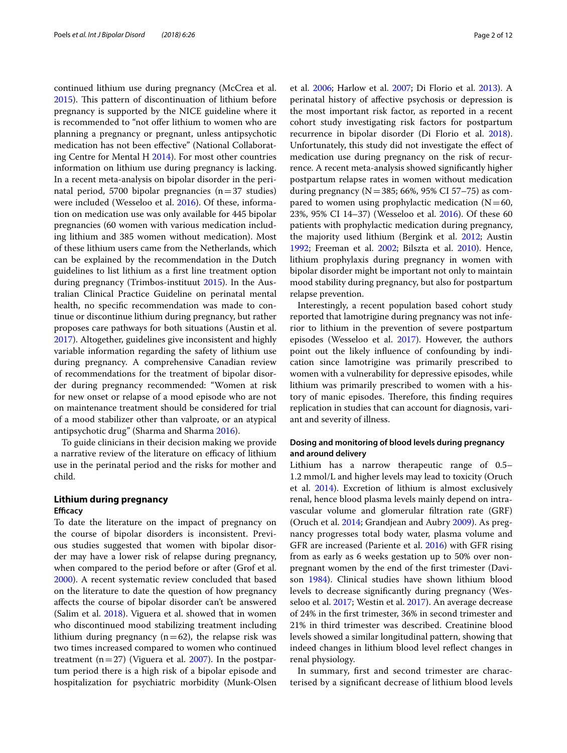continued lithium use during pregnancy (McCrea et al. [2015](#page-10-3)). This pattern of discontinuation of lithium before pregnancy is supported by the NICE guideline where it is recommended to "not offer lithium to women who are planning a pregnancy or pregnant, unless antipsychotic medication has not been efective" (National Collaborating Centre for Mental H [2014\)](#page-10-4). For most other countries information on lithium use during pregnancy is lacking. In a recent meta-analysis on bipolar disorder in the perinatal period, 5700 bipolar pregnancies (n=37 studies) were included (Wesseloo et al. [2016\)](#page-11-0). Of these, information on medication use was only available for 445 bipolar pregnancies (60 women with various medication including lithium and 385 women without medication). Most of these lithium users came from the Netherlands, which can be explained by the recommendation in the Dutch guidelines to list lithium as a frst line treatment option during pregnancy (Trimbos-instituut [2015\)](#page-11-1). In the Australian Clinical Practice Guideline on perinatal mental health, no specifc recommendation was made to continue or discontinue lithium during pregnancy, but rather proposes care pathways for both situations (Austin et al. [2017](#page-9-1)). Altogether, guidelines give inconsistent and highly variable information regarding the safety of lithium use during pregnancy. A comprehensive Canadian review of recommendations for the treatment of bipolar disorder during pregnancy recommended: "Women at risk for new onset or relapse of a mood episode who are not on maintenance treatment should be considered for trial of a mood stabilizer other than valproate, or an atypical antipsychotic drug" (Sharma and Sharma [2016\)](#page-11-2).

To guide clinicians in their decision making we provide a narrative review of the literature on efficacy of lithium use in the perinatal period and the risks for mother and child.

# **Lithium during pregnancy Efficacy**

To date the literature on the impact of pregnancy on the course of bipolar disorders is inconsistent. Previous studies suggested that women with bipolar disorder may have a lower risk of relapse during pregnancy, when compared to the period before or after (Grof et al. [2000](#page-10-5)). A recent systematic review concluded that based on the literature to date the question of how pregnancy afects the course of bipolar disorder can't be answered (Salim et al. [2018\)](#page-11-3). Viguera et al. showed that in women who discontinued mood stabilizing treatment including lithium during pregnancy ( $n=62$ ), the relapse risk was two times increased compared to women who continued treatment ( $n=27$ ) (Viguera et al. [2007](#page-11-4)). In the postpartum period there is a high risk of a bipolar episode and hospitalization for psychiatric morbidity (Munk-Olsen et al. [2006](#page-10-6); Harlow et al. [2007;](#page-10-7) Di Florio et al. [2013\)](#page-10-8). A perinatal history of afective psychosis or depression is the most important risk factor, as reported in a recent cohort study investigating risk factors for postpartum recurrence in bipolar disorder (Di Florio et al. [2018](#page-10-9)). Unfortunately, this study did not investigate the efect of medication use during pregnancy on the risk of recurrence. A recent meta-analysis showed signifcantly higher postpartum relapse rates in women without medication during pregnancy ( $N=385$ ; 66%, 95% CI 57-75) as compared to women using prophylactic medication  $(N=60,$ 23%, 95% CI 14–37) (Wesseloo et al. [2016](#page-11-0)). Of these 60 patients with prophylactic medication during pregnancy, the majority used lithium (Bergink et al. [2012;](#page-9-2) Austin [1992](#page-9-3); Freeman et al. [2002;](#page-10-10) Bilszta et al. [2010](#page-9-4)). Hence, lithium prophylaxis during pregnancy in women with bipolar disorder might be important not only to maintain mood stability during pregnancy, but also for postpartum relapse prevention.

Interestingly, a recent population based cohort study reported that lamotrigine during pregnancy was not inferior to lithium in the prevention of severe postpartum episodes (Wesseloo et al. [2017](#page-11-5)). However, the authors point out the likely infuence of confounding by indication since lamotrigine was primarily prescribed to women with a vulnerability for depressive episodes, while lithium was primarily prescribed to women with a history of manic episodes. Therefore, this finding requires replication in studies that can account for diagnosis, variant and severity of illness.

# **Dosing and monitoring of blood levels during pregnancy and around delivery**

Lithium has a narrow therapeutic range of 0.5– 1.2 mmol/L and higher levels may lead to toxicity (Oruch et al. [2014\)](#page-10-11). Excretion of lithium is almost exclusively renal, hence blood plasma levels mainly depend on intravascular volume and glomerular fltration rate (GRF) (Oruch et al. [2014;](#page-10-11) Grandjean and Aubry [2009](#page-10-12)). As pregnancy progresses total body water, plasma volume and GFR are increased (Pariente et al. [2016\)](#page-10-13) with GFR rising from as early as 6 weeks gestation up to 50% over nonpregnant women by the end of the frst trimester (Davison [1984\)](#page-10-14). Clinical studies have shown lithium blood levels to decrease signifcantly during pregnancy (Wesseloo et al. [2017;](#page-11-6) Westin et al. [2017](#page-11-7)). An average decrease of 24% in the frst trimester, 36% in second trimester and 21% in third trimester was described. Creatinine blood levels showed a similar longitudinal pattern, showing that indeed changes in lithium blood level refect changes in renal physiology.

In summary, frst and second trimester are characterised by a signifcant decrease of lithium blood levels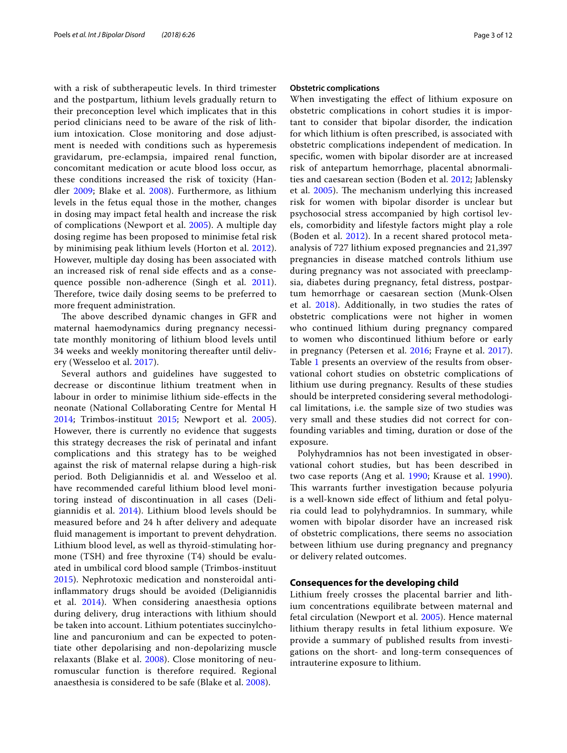with a risk of subtherapeutic levels. In third trimester and the postpartum, lithium levels gradually return to their preconception level which implicates that in this period clinicians need to be aware of the risk of lithium intoxication. Close monitoring and dose adjustment is needed with conditions such as hyperemesis gravidarum, pre-eclampsia, impaired renal function, concomitant medication or acute blood loss occur, as these conditions increased the risk of toxicity (Handler [2009;](#page-10-15) Blake et al. [2008\)](#page-9-5). Furthermore, as lithium levels in the fetus equal those in the mother, changes in dosing may impact fetal health and increase the risk of complications (Newport et al. [2005\)](#page-10-16). A multiple day dosing regime has been proposed to minimise fetal risk by minimising peak lithium levels (Horton et al. [2012](#page-10-17)). However, multiple day dosing has been associated with an increased risk of renal side efects and as a consequence possible non-adherence (Singh et al. [2011\)](#page-11-8). Therefore, twice daily dosing seems to be preferred to more frequent administration.

The above described dynamic changes in GFR and maternal haemodynamics during pregnancy necessitate monthly monitoring of lithium blood levels until 34 weeks and weekly monitoring thereafter until delivery (Wesseloo et al. [2017](#page-11-6)).

Several authors and guidelines have suggested to decrease or discontinue lithium treatment when in labour in order to minimise lithium side-efects in the neonate (National Collaborating Centre for Mental H [2014;](#page-10-4) Trimbos-instituut [2015;](#page-11-1) Newport et al. [2005\)](#page-10-16). However, there is currently no evidence that suggests this strategy decreases the risk of perinatal and infant complications and this strategy has to be weighed against the risk of maternal relapse during a high-risk period. Both Deligiannidis et al. and Wesseloo et al. have recommended careful lithium blood level monitoring instead of discontinuation in all cases (Deligiannidis et al. [2014](#page-10-18)). Lithium blood levels should be measured before and 24 h after delivery and adequate fuid management is important to prevent dehydration. Lithium blood level, as well as thyroid-stimulating hormone (TSH) and free thyroxine (T4) should be evaluated in umbilical cord blood sample (Trimbos-instituut [2015\)](#page-11-1). Nephrotoxic medication and nonsteroidal antiinfammatory drugs should be avoided (Deligiannidis et al. [2014](#page-10-18)). When considering anaesthesia options during delivery, drug interactions with lithium should be taken into account. Lithium potentiates succinylcholine and pancuronium and can be expected to potentiate other depolarising and non-depolarizing muscle relaxants (Blake et al. [2008\)](#page-9-5). Close monitoring of neuromuscular function is therefore required. Regional anaesthesia is considered to be safe (Blake et al. [2008\)](#page-9-5).

## **Obstetric complications**

When investigating the efect of lithium exposure on obstetric complications in cohort studies it is important to consider that bipolar disorder, the indication for which lithium is often prescribed, is associated with obstetric complications independent of medication. In specifc, women with bipolar disorder are at increased risk of antepartum hemorrhage, placental abnormalities and caesarean section (Boden et al. [2012](#page-9-6); Jablensky et al. [2005\)](#page-10-19). The mechanism underlying this increased risk for women with bipolar disorder is unclear but psychosocial stress accompanied by high cortisol levels, comorbidity and lifestyle factors might play a role (Boden et al. [2012\)](#page-9-6). In a recent shared protocol metaanalysis of 727 lithium exposed pregnancies and 21,397 pregnancies in disease matched controls lithium use during pregnancy was not associated with preeclampsia, diabetes during pregnancy, fetal distress, postpartum hemorrhage or caesarean section (Munk-Olsen et al. [2018\)](#page-10-20). Additionally, in two studies the rates of obstetric complications were not higher in women who continued lithium during pregnancy compared to women who discontinued lithium before or early in pregnancy (Petersen et al. [2016](#page-11-9); Frayne et al. [2017](#page-10-21)). Table [1](#page-3-0) presents an overview of the results from observational cohort studies on obstetric complications of lithium use during pregnancy. Results of these studies should be interpreted considering several methodological limitations, i.e. the sample size of two studies was very small and these studies did not correct for confounding variables and timing, duration or dose of the exposure.

Polyhydramnios has not been investigated in observational cohort studies, but has been described in two case reports (Ang et al. [1990](#page-9-7); Krause et al. [1990\)](#page-10-22). This warrants further investigation because polyuria is a well-known side efect of lithium and fetal polyuria could lead to polyhydramnios. In summary, while women with bipolar disorder have an increased risk of obstetric complications, there seems no association between lithium use during pregnancy and pregnancy or delivery related outcomes.

## **Consequences for the developing child**

Lithium freely crosses the placental barrier and lithium concentrations equilibrate between maternal and fetal circulation (Newport et al. [2005\)](#page-10-16). Hence maternal lithium therapy results in fetal lithium exposure. We provide a summary of published results from investigations on the short- and long-term consequences of intrauterine exposure to lithium.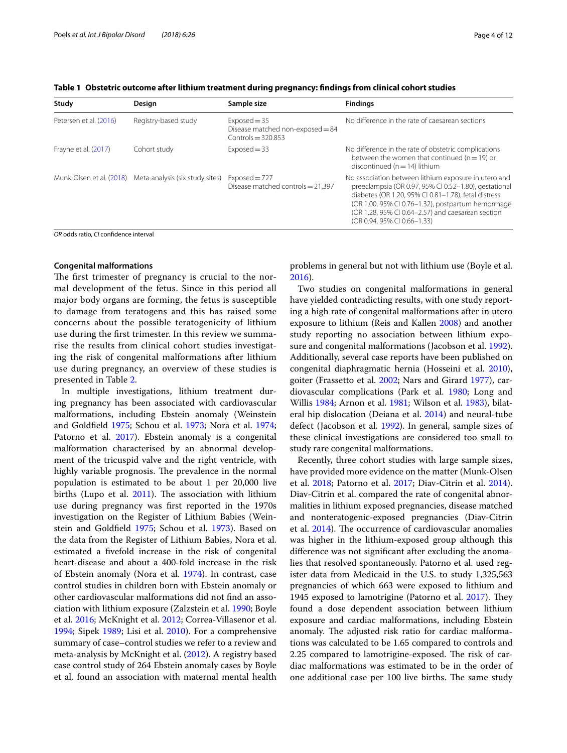<span id="page-3-0"></span>

| Table 1 Obstetric outcome after lithium treatment during pregnancy: findings from clinical cohort studies |  |  |  |  |
|-----------------------------------------------------------------------------------------------------------|--|--|--|--|
|                                                                                                           |  |  |  |  |

| Study                  | Design                                                   | Sample size                                                                | <b>Findings</b>                                                                                                                                                                                                                                                                                                 |
|------------------------|----------------------------------------------------------|----------------------------------------------------------------------------|-----------------------------------------------------------------------------------------------------------------------------------------------------------------------------------------------------------------------------------------------------------------------------------------------------------------|
| Petersen et al. (2016) | Registry-based study                                     | $Exposed = 35$<br>Disease matched non-exposed = 84<br>$Controls = 320.853$ | No difference in the rate of caesarean sections                                                                                                                                                                                                                                                                 |
| Frayne et al. (2017)   | Cohort study                                             | $Exposed = 33$                                                             | No difference in the rate of obstetric complications<br>between the women that continued ( $n = 19$ ) or<br>discontinued $(n = 14)$ lithium                                                                                                                                                                     |
|                        | Munk-Olsen et al. (2018) Meta-analysis (six study sites) | $Exposed = 727$<br>Disease matched controls = 21,397                       | No association between lithium exposure in utero and<br>preeclampsia (OR 0.97, 95% CI 0.52-1.80), gestational<br>diabetes (OR 1.20, 95% CI 0.81-1.78), fetal distress<br>(OR 1.00, 95% CI 0.76-1.32), postpartum hemorrhage<br>(OR 1.28, 95% CI 0.64-2.57) and caesarean section<br>(OR 0.94, 95% CI 0.66-1.33) |

*OR* odds ratio, *CI* confdence interval

## **Congenital malformations**

The first trimester of pregnancy is crucial to the normal development of the fetus. Since in this period all major body organs are forming, the fetus is susceptible to damage from teratogens and this has raised some concerns about the possible teratogenicity of lithium use during the frst trimester. In this review we summarise the results from clinical cohort studies investigating the risk of congenital malformations after lithium use during pregnancy, an overview of these studies is presented in Table [2.](#page-4-0)

In multiple investigations, lithium treatment during pregnancy has been associated with cardiovascular malformations, including Ebstein anomaly (Weinstein and Goldfeld [1975;](#page-11-10) Schou et al. [1973;](#page-11-11) Nora et al. [1974](#page-10-23); Patorno et al. [2017](#page-11-12)). Ebstein anomaly is a congenital malformation characterised by an abnormal development of the tricuspid valve and the right ventricle, with highly variable prognosis. The prevalence in the normal population is estimated to be about 1 per 20,000 live births (Lupo et al.  $2011$ ). The association with lithium use during pregnancy was frst reported in the 1970s investigation on the Register of Lithium Babies (Weinstein and Goldfeld [1975](#page-11-10); Schou et al. [1973](#page-11-11)). Based on the data from the Register of Lithium Babies, Nora et al. estimated a fvefold increase in the risk of congenital heart-disease and about a 400-fold increase in the risk of Ebstein anomaly (Nora et al. [1974](#page-10-23)). In contrast, case control studies in children born with Ebstein anomaly or other cardiovascular malformations did not fnd an association with lithium exposure (Zalzstein et al. [1990](#page-11-13); Boyle et al. [2016;](#page-9-8) McKnight et al. [2012](#page-10-25); Correa-Villasenor et al. [1994](#page-10-26); Sipek [1989](#page-11-14); Lisi et al. [2010\)](#page-10-27). For a comprehensive summary of case–control studies we refer to a review and meta-analysis by McKnight et al. [\(2012\)](#page-10-25). A registry based case control study of 264 Ebstein anomaly cases by Boyle et al. found an association with maternal mental health problems in general but not with lithium use (Boyle et al. [2016](#page-9-8)).

Two studies on congenital malformations in general have yielded contradicting results, with one study reporting a high rate of congenital malformations after in utero exposure to lithium (Reis and Kallen [2008\)](#page-11-15) and another study reporting no association between lithium exposure and congenital malformations (Jacobson et al. [1992](#page-10-28)). Additionally, several case reports have been published on congenital diaphragmatic hernia (Hosseini et al. [2010](#page-10-29)), goiter (Frassetto et al. [2002;](#page-10-30) Nars and Girard [1977](#page-10-31)), cardiovascular complications (Park et al. [1980;](#page-11-16) Long and Willis [1984](#page-10-32); Arnon et al. [1981;](#page-9-9) Wilson et al. [1983\)](#page-11-17), bilateral hip dislocation (Deiana et al. [2014\)](#page-10-33) and neural-tube defect (Jacobson et al. [1992\)](#page-10-28). In general, sample sizes of these clinical investigations are considered too small to study rare congenital malformations.

Recently, three cohort studies with large sample sizes, have provided more evidence on the matter (Munk-Olsen et al. [2018](#page-10-20); Patorno et al. [2017;](#page-11-12) Diav-Citrin et al. [2014](#page-10-34)). Diav-Citrin et al. compared the rate of congenital abnormalities in lithium exposed pregnancies, disease matched and nonteratogenic-exposed pregnancies (Diav-Citrin et al. [2014\)](#page-10-34). The occurrence of cardiovascular anomalies was higher in the lithium-exposed group although this diference was not signifcant after excluding the anomalies that resolved spontaneously. Patorno et al. used register data from Medicaid in the U.S. to study 1,325,563 pregnancies of which 663 were exposed to lithium and 1945 exposed to lamotrigine (Patorno et al. [2017\)](#page-11-12). They found a dose dependent association between lithium exposure and cardiac malformations, including Ebstein anomaly. The adjusted risk ratio for cardiac malformations was calculated to be 1.65 compared to controls and 2.25 compared to lamotrigine-exposed. The risk of cardiac malformations was estimated to be in the order of one additional case per 100 live births. The same study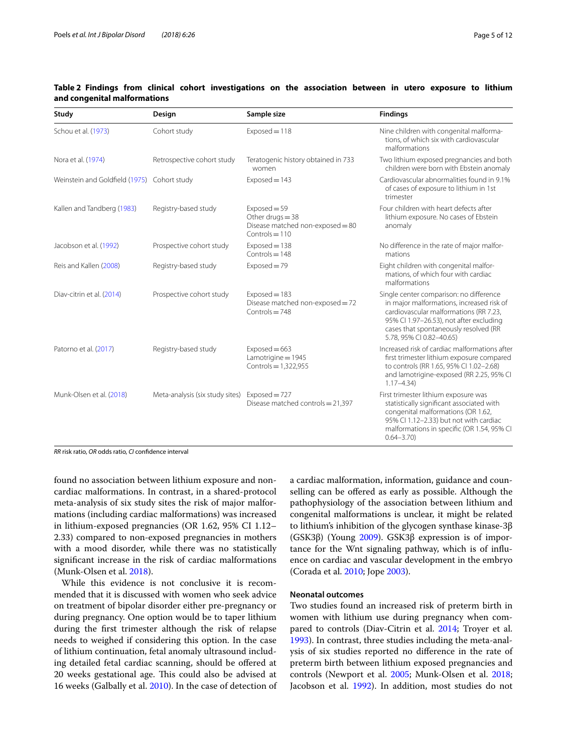# <span id="page-4-0"></span>**Table 2 Findings from clinical cohort investigations on the association between in utero exposure to lithium and congenital malformations**

| Study                          | Design                          | Sample size                                                                                  | <b>Findings</b>                                                                                                                                                                                                                                |
|--------------------------------|---------------------------------|----------------------------------------------------------------------------------------------|------------------------------------------------------------------------------------------------------------------------------------------------------------------------------------------------------------------------------------------------|
| Schou et al. (1973)            | Cohort study                    | $Exposed = 118$                                                                              | Nine children with congenital malforma-<br>tions, of which six with cardiovascular<br>malformations                                                                                                                                            |
| Nora et al. (1974)             | Retrospective cohort study      | Teratogenic history obtained in 733<br>women                                                 | Two lithium exposed pregnancies and both<br>children were born with Ebstein anomaly                                                                                                                                                            |
| Weinstein and Goldfield (1975) | Cohort study                    | $Exposed = 143$                                                                              | Cardiovascular abnormalities found in 9.1%<br>of cases of exposure to lithium in 1st<br>trimester                                                                                                                                              |
| Kallen and Tandberg (1983)     | Registry-based study            | $Exposed = 59$<br>Other drugs = $38$<br>Disease matched non-exposed = 80<br>$Contents = 110$ | Four children with heart defects after<br>lithium exposure. No cases of Ebstein<br>anomaly                                                                                                                                                     |
| Jacobson et al. (1992)         | Prospective cohort study        | $Exposed = 138$<br>$Controls = 148$                                                          | No difference in the rate of major malfor-<br>mations                                                                                                                                                                                          |
| Reis and Kallen (2008)         | Registry-based study            | $Exposed = 79$                                                                               | Eight children with congenital malfor-<br>mations, of which four with cardiac<br>malformations                                                                                                                                                 |
| Diav-citrin et al. (2014)      | Prospective cohort study        | $Exposed = 183$<br>Disease matched non-exposed = 72<br>Controls $=$ 748                      | Single center comparison: no difference<br>in major malformations, increased risk of<br>cardiovascular malformations (RR 7.23,<br>95% Cl 1.97-26.53), not after excluding<br>cases that spontaneously resolved (RR<br>5.78, 95% CI 0.82-40.65) |
| Patorno et al. (2017)          | Registry-based study            | $Exposed = 663$<br>Lamotrigine $=$ 1945<br>Controls = $1,322,955$                            | Increased risk of cardiac malformations after<br>first trimester lithium exposure compared<br>to controls (RR 1.65, 95% CI 1.02-2.68)<br>and lamotrigine-exposed (RR 2.25, 95% CI<br>$1.17 - 4.34$                                             |
| Munk-Olsen et al. (2018)       | Meta-analysis (six study sites) | $Exposed = 727$<br>Disease matched controls = 21,397                                         | First trimester lithium exposure was<br>statistically significant associated with<br>congenital malformations (OR 1.62,<br>95% CI 1.12-2.33) but not with cardiac<br>malformations in specific (OR 1.54, 95% CI<br>$0.64 - 3.70$               |

*RR* risk ratio, *OR* odds ratio, *CI* confdence interval

found no association between lithium exposure and noncardiac malformations. In contrast, in a shared-protocol meta-analysis of six study sites the risk of major malformations (including cardiac malformations) was increased in lithium-exposed pregnancies (OR 1.62, 95% CI 1.12– 2.33) compared to non-exposed pregnancies in mothers with a mood disorder, while there was no statistically signifcant increase in the risk of cardiac malformations (Munk-Olsen et al. [2018\)](#page-10-20).

While this evidence is not conclusive it is recommended that it is discussed with women who seek advice on treatment of bipolar disorder either pre-pregnancy or during pregnancy. One option would be to taper lithium during the frst trimester although the risk of relapse needs to weighed if considering this option. In the case of lithium continuation, fetal anomaly ultrasound including detailed fetal cardiac scanning, should be ofered at 20 weeks gestational age. This could also be advised at 16 weeks (Galbally et al. [2010\)](#page-10-35). In the case of detection of a cardiac malformation, information, guidance and counselling can be ofered as early as possible. Although the pathophysiology of the association between lithium and congenital malformations is unclear, it might be related to lithium's inhibition of the glycogen synthase kinase-3β (GSK3β) (Young [2009](#page-11-18)). GSK3β expression is of importance for the Wnt signaling pathway, which is of infuence on cardiac and vascular development in the embryo (Corada et al. [2010](#page-10-36); Jope [2003\)](#page-10-37).

## **Neonatal outcomes**

Two studies found an increased risk of preterm birth in women with lithium use during pregnancy when compared to controls (Diav-Citrin et al. [2014](#page-10-34); Troyer et al. [1993](#page-11-19)). In contrast, three studies including the meta-analysis of six studies reported no diference in the rate of preterm birth between lithium exposed pregnancies and controls (Newport et al. [2005](#page-10-16); Munk-Olsen et al. [2018](#page-10-20); Jacobson et al. [1992](#page-10-28)). In addition, most studies do not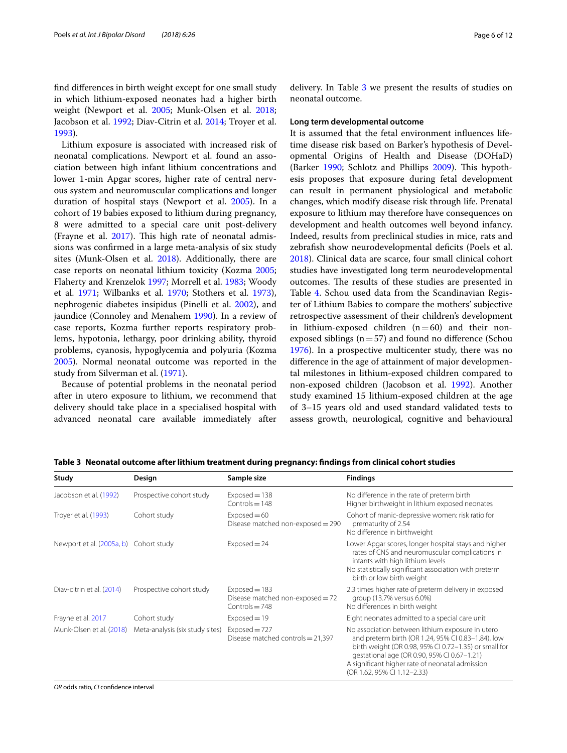fnd diferences in birth weight except for one small study in which lithium-exposed neonates had a higher birth weight (Newport et al. [2005](#page-10-16); Munk-Olsen et al. [2018](#page-10-20); Jacobson et al. [1992](#page-10-28); Diav-Citrin et al. [2014](#page-10-34); Troyer et al. [1993](#page-11-19)).

Lithium exposure is associated with increased risk of neonatal complications. Newport et al. found an association between high infant lithium concentrations and lower 1-min Apgar scores, higher rate of central nervous system and neuromuscular complications and longer duration of hospital stays (Newport et al. [2005](#page-10-16)). In a cohort of 19 babies exposed to lithium during pregnancy, 8 were admitted to a special care unit post-delivery (Frayne et al.  $2017$ ). This high rate of neonatal admissions was confrmed in a large meta-analysis of six study sites (Munk-Olsen et al. [2018](#page-10-20)). Additionally, there are case reports on neonatal lithium toxicity (Kozma [2005](#page-10-39); Flaherty and Krenzelok [1997](#page-10-40); Morrell et al. [1983](#page-10-41); Woody et al. [1971;](#page-11-20) Wilbanks et al. [1970;](#page-11-21) Stothers et al. [1973](#page-11-22)), nephrogenic diabetes insipidus (Pinelli et al. [2002](#page-11-23)), and jaundice (Connoley and Menahem [1990](#page-10-42)). In a review of case reports, Kozma further reports respiratory problems, hypotonia, lethargy, poor drinking ability, thyroid problems, cyanosis, hypoglycemia and polyuria (Kozma [2005](#page-10-39)). Normal neonatal outcome was reported in the study from Silverman et al. ([1971](#page-11-24)).

Because of potential problems in the neonatal period after in utero exposure to lithium, we recommend that delivery should take place in a specialised hospital with advanced neonatal care available immediately after delivery. In Table [3](#page-5-0) we present the results of studies on neonatal outcome.

#### **Long term developmental outcome**

It is assumed that the fetal environment infuences lifetime disease risk based on Barker's hypothesis of Developmental Origins of Health and Disease (DOHaD) (Barker [1990](#page-9-10); Schlotz and Phillips [2009](#page-11-25)). This hypothesis proposes that exposure during fetal development can result in permanent physiological and metabolic changes, which modify disease risk through life. Prenatal exposure to lithium may therefore have consequences on development and health outcomes well beyond infancy. Indeed, results from preclinical studies in mice, rats and zebrafish show neurodevelopmental deficits (Poels et al. [2018](#page-11-26)). Clinical data are scarce, four small clinical cohort studies have investigated long term neurodevelopmental outcomes. The results of these studies are presented in Table [4](#page-6-0). Schou used data from the Scandinavian Register of Lithium Babies to compare the mothers' subjective retrospective assessment of their children's development in lithium-exposed children  $(n=60)$  and their nonexposed siblings ( $n=57$ ) and found no difference (Schou [1976](#page-11-27)). In a prospective multicenter study, there was no diference in the age of attainment of major developmental milestones in lithium-exposed children compared to non-exposed children (Jacobson et al. [1992\)](#page-10-28). Another study examined 15 lithium-exposed children at the age of 3–15 years old and used standard validated tests to assess growth, neurological, cognitive and behavioural

| Study                                  | Design                          | Sample size                                                             | <b>Findings</b>                                                                                                                                                                                                                                                                                  |
|----------------------------------------|---------------------------------|-------------------------------------------------------------------------|--------------------------------------------------------------------------------------------------------------------------------------------------------------------------------------------------------------------------------------------------------------------------------------------------|
| Jacobson et al. (1992)                 | Prospective cohort study        | $Exposed = 138$<br>$Controls = 148$                                     | No difference in the rate of preterm birth<br>Higher birthweight in lithium exposed neonates                                                                                                                                                                                                     |
| Troyer et al. (1993)                   | Cohort study                    | $Exposed = 60$<br>Disease matched non-exposed = 290                     | Cohort of manic-depressive women: risk ratio for<br>prematurity of 2.54<br>No difference in birthweight                                                                                                                                                                                          |
| Newport et al. (2005a, b) Cohort study |                                 | $Exposed = 24$                                                          | Lower Apgar scores, longer hospital stays and higher<br>rates of CNS and neuromuscular complications in<br>infants with high lithium levels<br>No statistically significant association with preterm<br>birth or low birth weight                                                                |
| Diav-citrin et al. (2014)              | Prospective cohort study        | $Exposed = 183$<br>Disease matched non-exposed = 72<br>Controls $= 748$ | 2.3 times higher rate of preterm delivery in exposed<br>group (13.7% versus 6.0%)<br>No differences in birth weight                                                                                                                                                                              |
| Frayne et al. 2017                     | Cohort study                    | $Exposed = 19$                                                          | Eight neonates admitted to a special care unit                                                                                                                                                                                                                                                   |
| Munk-Olsen et al. (2018)               | Meta-analysis (six study sites) | $Exposed = 727$<br>Disease matched controls $= 21,397$                  | No association between lithium exposure in utero<br>and preterm birth (OR 1.24, 95% CI 0.83-1.84), low<br>birth weight (OR 0.98, 95% CI 0.72-1.35) or small for<br>qestational age (OR 0.90, 95% CI 0.67-1.21)<br>A significant higher rate of neonatal admission<br>(OR 1.62, 95% CI 1.12-2.33) |

<span id="page-5-0"></span>**Table 3 Neonatal outcome after lithium treatment during pregnancy: fndings from clinical cohort studies**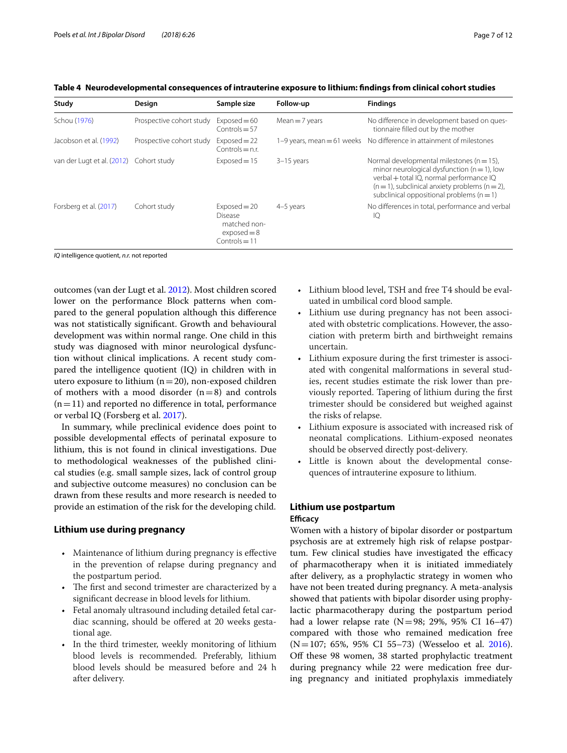| Study                                   | Design                   | Sample size                                                                   | Follow-up        | <b>Findings</b>                                                                                                                                                                                                                                       |
|-----------------------------------------|--------------------------|-------------------------------------------------------------------------------|------------------|-------------------------------------------------------------------------------------------------------------------------------------------------------------------------------------------------------------------------------------------------------|
| Schou (1976)                            | Prospective cohort study | $Exposed = 60$<br>$Controls = 57$                                             | $Mean = 7 years$ | No difference in development based on ques-<br>tionnaire filled out by the mother                                                                                                                                                                     |
| Jacobson et al. (1992)                  | Prospective cohort study | $Exposed = 22$<br>Controls $= n.r.$                                           |                  | 1-9 years, mean = 61 weeks No difference in attainment of milestones                                                                                                                                                                                  |
| van der Lugt et al. (2012) Cohort study |                          | $Exposed = 15$                                                                | $3-15$ years     | Normal developmental milestones ( $n = 15$ ),<br>minor neurological dysfunction ( $n = 1$ ), low<br>verbal + total IQ, normal performance IQ<br>$(n = 1)$ , subclinical anxiety problems $(n = 2)$ ,<br>subclinical oppositional problems ( $n = 1$ ) |
| Forsberg et al. (2017)                  | Cohort study             | $Exposed = 20$<br>Disease<br>matched non-<br>$exposed = 8$<br>$Controls = 11$ | 4-5 years        | No differences in total, performance and verbal<br>IQ                                                                                                                                                                                                 |

<span id="page-6-0"></span>

|  |  | Table 4 Neurodevelopmental consequences of intrauterine exposure to lithium: findings from clinical cohort studies |  |
|--|--|--------------------------------------------------------------------------------------------------------------------|--|
|  |  |                                                                                                                    |  |

*IQ* intelligence quotient, *n.r.* not reported

outcomes (van der Lugt et al. [2012](#page-11-28)). Most children scored lower on the performance Block patterns when compared to the general population although this diference was not statistically signifcant. Growth and behavioural development was within normal range. One child in this study was diagnosed with minor neurological dysfunction without clinical implications. A recent study compared the intelligence quotient (IQ) in children with in utero exposure to lithium  $(n=20)$ , non-exposed children of mothers with a mood disorder  $(n=8)$  and controls  $(n=11)$  and reported no difference in total, performance or verbal IQ (Forsberg et al. [2017\)](#page-10-43).

In summary, while preclinical evidence does point to possible developmental efects of perinatal exposure to lithium, this is not found in clinical investigations. Due to methodological weaknesses of the published clinical studies (e.g. small sample sizes, lack of control group and subjective outcome measures) no conclusion can be drawn from these results and more research is needed to provide an estimation of the risk for the developing child.

# **Lithium use during pregnancy**

- Maintenance of lithium during pregnancy is effective in the prevention of relapse during pregnancy and the postpartum period.
- The first and second trimester are characterized by a signifcant decrease in blood levels for lithium.
- Fetal anomaly ultrasound including detailed fetal cardiac scanning, should be ofered at 20 weeks gestational age.
- In the third trimester, weekly monitoring of lithium blood levels is recommended. Preferably, lithium blood levels should be measured before and 24 h after delivery.
- Lithium blood level, TSH and free T4 should be evaluated in umbilical cord blood sample.
- Lithium use during pregnancy has not been associated with obstetric complications. However, the association with preterm birth and birthweight remains uncertain.
- Lithium exposure during the first trimester is associated with congenital malformations in several studies, recent studies estimate the risk lower than previously reported. Tapering of lithium during the frst trimester should be considered but weighed against the risks of relapse.
- Lithium exposure is associated with increased risk of neonatal complications. Lithium-exposed neonates should be observed directly post-delivery.
- Little is known about the developmental consequences of intrauterine exposure to lithium.

# **Lithium use postpartum Efficacy**

Women with a history of bipolar disorder or postpartum psychosis are at extremely high risk of relapse postpartum. Few clinical studies have investigated the efficacy of pharmacotherapy when it is initiated immediately after delivery, as a prophylactic strategy in women who have not been treated during pregnancy. A meta-analysis showed that patients with bipolar disorder using prophylactic pharmacotherapy during the postpartum period had a lower relapse rate  $(N=98; 29\%, 95\% \text{ CI } 16-47)$ compared with those who remained medication free (N=107; 65%, 95% CI 55–73) (Wesseloo et al. [2016](#page-11-0)). Off these 98 women, 38 started prophylactic treatment during pregnancy while 22 were medication free during pregnancy and initiated prophylaxis immediately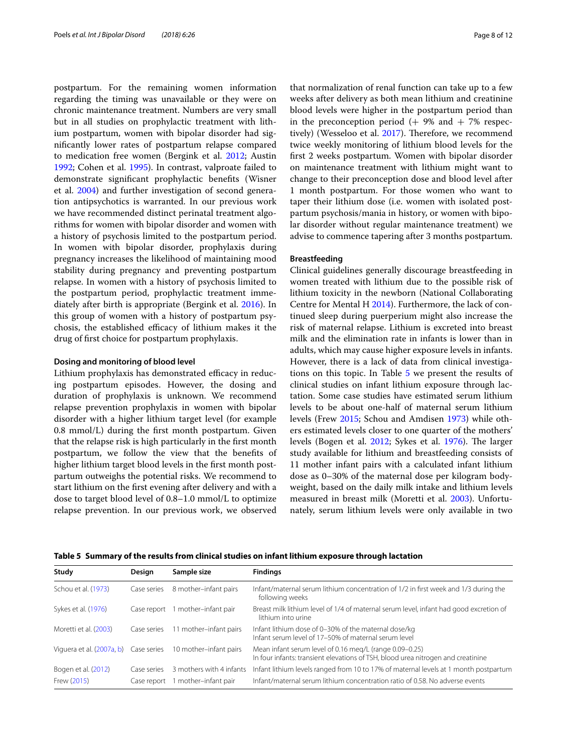postpartum. For the remaining women information regarding the timing was unavailable or they were on chronic maintenance treatment. Numbers are very small but in all studies on prophylactic treatment with lithium postpartum, women with bipolar disorder had signifcantly lower rates of postpartum relapse compared to medication free women (Bergink et al. [2012](#page-9-2); Austin [1992](#page-9-3); Cohen et al. [1995](#page-9-11)). In contrast, valproate failed to demonstrate signifcant prophylactic benefts (Wisner et al. [2004\)](#page-11-29) and further investigation of second generation antipsychotics is warranted. In our previous work we have recommended distinct perinatal treatment algorithms for women with bipolar disorder and women with a history of psychosis limited to the postpartum period. In women with bipolar disorder, prophylaxis during pregnancy increases the likelihood of maintaining mood stability during pregnancy and preventing postpartum relapse. In women with a history of psychosis limited to the postpartum period, prophylactic treatment immediately after birth is appropriate (Bergink et al. [2016](#page-9-12)). In this group of women with a history of postpartum psychosis, the established efficacy of lithium makes it the drug of frst choice for postpartum prophylaxis.

## **Dosing and monitoring of blood level**

Lithium prophylaxis has demonstrated efficacy in reducing postpartum episodes. However, the dosing and duration of prophylaxis is unknown. We recommend relapse prevention prophylaxis in women with bipolar disorder with a higher lithium target level (for example 0.8 mmol/L) during the frst month postpartum. Given that the relapse risk is high particularly in the frst month postpartum, we follow the view that the benefts of higher lithium target blood levels in the first month postpartum outweighs the potential risks. We recommend to start lithium on the frst evening after delivery and with a dose to target blood level of 0.8–1.0 mmol/L to optimize relapse prevention. In our previous work, we observed that normalization of renal function can take up to a few weeks after delivery as both mean lithium and creatinine blood levels were higher in the postpartum period than in the preconception period  $(+)$  9% and  $+$  7% respec-tively) (Wesseloo et al. [2017](#page-11-6)). Therefore, we recommend twice weekly monitoring of lithium blood levels for the frst 2 weeks postpartum. Women with bipolar disorder on maintenance treatment with lithium might want to change to their preconception dose and blood level after 1 month postpartum. For those women who want to taper their lithium dose (i.e. women with isolated postpartum psychosis/mania in history, or women with bipolar disorder without regular maintenance treatment) we advise to commence tapering after 3 months postpartum.

## **Breastfeeding**

Clinical guidelines generally discourage breastfeeding in women treated with lithium due to the possible risk of lithium toxicity in the newborn (National Collaborating Centre for Mental H [2014](#page-10-4)). Furthermore, the lack of continued sleep during puerperium might also increase the risk of maternal relapse. Lithium is excreted into breast milk and the elimination rate in infants is lower than in adults, which may cause higher exposure levels in infants. However, there is a lack of data from clinical investiga-tions on this topic. In Table [5](#page-7-0) we present the results of clinical studies on infant lithium exposure through lactation. Some case studies have estimated serum lithium levels to be about one-half of maternal serum lithium levels (Frew [2015;](#page-10-44) Schou and Amdisen [1973\)](#page-11-30) while others estimated levels closer to one quarter of the mothers' levels (Bogen et al. [2012;](#page-9-13) Sykes et al. [1976](#page-11-31)). The larger study available for lithium and breastfeeding consists of 11 mother infant pairs with a calculated infant lithium dose as 0–30% of the maternal dose per kilogram bodyweight, based on the daily milk intake and lithium levels measured in breast milk (Moretti et al. [2003](#page-10-45)). Unfortunately, serum lithium levels were only available in two

<span id="page-7-0"></span>**Table 5 Summary of the results from clinical studies on infant lithium exposure through lactation**

| Study                                 | Design      | Sample size              | <b>Findings</b>                                                                                                                             |
|---------------------------------------|-------------|--------------------------|---------------------------------------------------------------------------------------------------------------------------------------------|
| Schou et al. (1973)                   | Case series | 8 mother-infant pairs    | Infant/maternal serum lithium concentration of 1/2 in first week and 1/3 during the<br>following weeks                                      |
| Sykes et al. (1976)                   | Case report | 1 mother-infant pair     | Breast milk lithium level of 1/4 of maternal serum level, infant had good excretion of<br>lithium into urine                                |
| Moretti et al. (2003)                 | Case series | 11 mother-infant pairs   | Infant lithium dose of 0-30% of the maternal dose/kg<br>Infant serum level of 17-50% of maternal serum level                                |
| Viguera et al. (2007a, b) Case series |             | 10 mother-infant pairs   | Mean infant serum level of 0.16 meg/L (range 0.09-0.25)<br>In four infants: transient elevations of TSH, blood urea nitrogen and creatinine |
| Bogen et al. (2012)                   | Case series | 3 mothers with 4 infants | Infant lithium levels ranged from 10 to 17% of maternal levels at 1 month postpartum                                                        |
| Frew (2015)                           | Case report | 1 mother-infant pair     | Infant/maternal serum lithium concentration ratio of 0.58. No adverse events                                                                |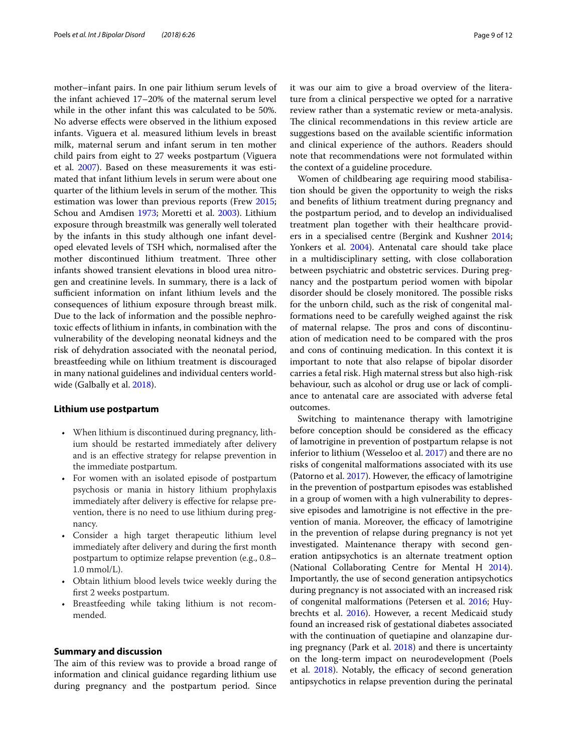mother–infant pairs. In one pair lithium serum levels of the infant achieved 17–20% of the maternal serum level while in the other infant this was calculated to be 50%. No adverse efects were observed in the lithium exposed infants. Viguera et al. measured lithium levels in breast milk, maternal serum and infant serum in ten mother child pairs from eight to 27 weeks postpartum (Viguera et al. [2007](#page-11-32)). Based on these measurements it was estimated that infant lithium levels in serum were about one quarter of the lithium levels in serum of the mother. This estimation was lower than previous reports (Frew [2015](#page-10-44); Schou and Amdisen [1973](#page-11-30); Moretti et al. [2003\)](#page-10-45). Lithium exposure through breastmilk was generally well tolerated by the infants in this study although one infant developed elevated levels of TSH which, normalised after the mother discontinued lithium treatment. Three other infants showed transient elevations in blood urea nitrogen and creatinine levels. In summary, there is a lack of sufficient information on infant lithium levels and the consequences of lithium exposure through breast milk. Due to the lack of information and the possible nephrotoxic efects of lithium in infants, in combination with the vulnerability of the developing neonatal kidneys and the risk of dehydration associated with the neonatal period, breastfeeding while on lithium treatment is discouraged in many national guidelines and individual centers worldwide (Galbally et al. [2018\)](#page-10-46).

## **Lithium use postpartum**

- When lithium is discontinued during pregnancy, lithium should be restarted immediately after delivery and is an efective strategy for relapse prevention in the immediate postpartum.
- For women with an isolated episode of postpartum psychosis or mania in history lithium prophylaxis immediately after delivery is efective for relapse prevention, there is no need to use lithium during pregnancy.
- Consider a high target therapeutic lithium level immediately after delivery and during the frst month postpartum to optimize relapse prevention (e.g., 0.8– 1.0 mmol/L).
- Obtain lithium blood levels twice weekly during the frst 2 weeks postpartum.
- Breastfeeding while taking lithium is not recommended.

## **Summary and discussion**

The aim of this review was to provide a broad range of information and clinical guidance regarding lithium use during pregnancy and the postpartum period. Since

it was our aim to give a broad overview of the literature from a clinical perspective we opted for a narrative review rather than a systematic review or meta-analysis. The clinical recommendations in this review article are suggestions based on the available scientifc information and clinical experience of the authors. Readers should note that recommendations were not formulated within the context of a guideline procedure.

Women of childbearing age requiring mood stabilisation should be given the opportunity to weigh the risks and benefts of lithium treatment during pregnancy and the postpartum period, and to develop an individualised treatment plan together with their healthcare providers in a specialised centre (Bergink and Kushner [2014](#page-9-14); Yonkers et al. [2004\)](#page-11-33). Antenatal care should take place in a multidisciplinary setting, with close collaboration between psychiatric and obstetric services. During pregnancy and the postpartum period women with bipolar disorder should be closely monitored. The possible risks for the unborn child, such as the risk of congenital malformations need to be carefully weighed against the risk of maternal relapse. The pros and cons of discontinuation of medication need to be compared with the pros and cons of continuing medication. In this context it is important to note that also relapse of bipolar disorder carries a fetal risk. High maternal stress but also high-risk behaviour, such as alcohol or drug use or lack of compliance to antenatal care are associated with adverse fetal outcomes.

Switching to maintenance therapy with lamotrigine before conception should be considered as the efficacy of lamotrigine in prevention of postpartum relapse is not inferior to lithium (Wesseloo et al. [2017\)](#page-11-5) and there are no risks of congenital malformations associated with its use (Patorno et al.  $2017$ ). However, the efficacy of lamotrigine in the prevention of postpartum episodes was established in a group of women with a high vulnerability to depressive episodes and lamotrigine is not efective in the prevention of mania. Moreover, the efficacy of lamotrigine in the prevention of relapse during pregnancy is not yet investigated. Maintenance therapy with second generation antipsychotics is an alternate treatment option (National Collaborating Centre for Mental H [2014](#page-10-4)). Importantly, the use of second generation antipsychotics during pregnancy is not associated with an increased risk of congenital malformations (Petersen et al. [2016;](#page-11-9) Huy-brechts et al. [2016\)](#page-10-47). However, a recent Medicaid study found an increased risk of gestational diabetes associated with the continuation of quetiapine and olanzapine during pregnancy (Park et al. [2018\)](#page-11-34) and there is uncertainty on the long-term impact on neurodevelopment (Poels et al.  $2018$ ). Notably, the efficacy of second generation antipsychotics in relapse prevention during the perinatal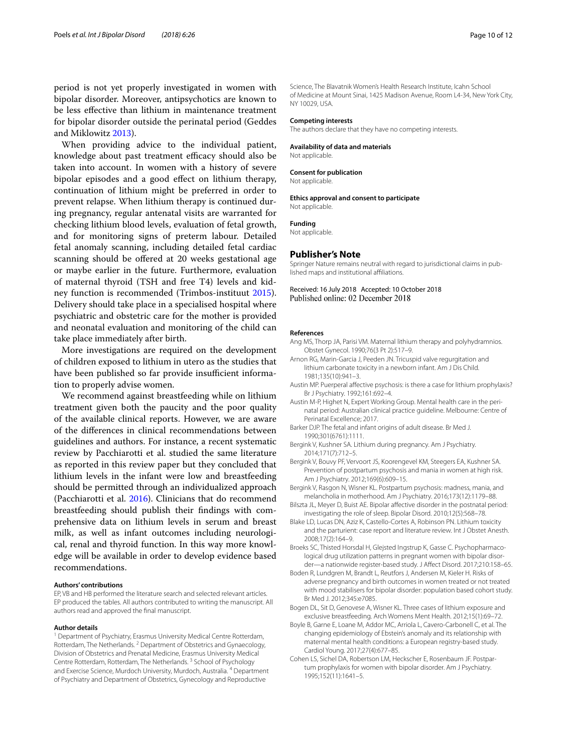period is not yet properly investigated in women with bipolar disorder. Moreover, antipsychotics are known to be less efective than lithium in maintenance treatment for bipolar disorder outside the perinatal period (Geddes and Miklowitz [2013\)](#page-10-0).

When providing advice to the individual patient, knowledge about past treatment efficacy should also be taken into account. In women with a history of severe bipolar episodes and a good efect on lithium therapy, continuation of lithium might be preferred in order to prevent relapse. When lithium therapy is continued during pregnancy, regular antenatal visits are warranted for checking lithium blood levels, evaluation of fetal growth, and for monitoring signs of preterm labour. Detailed fetal anomaly scanning, including detailed fetal cardiac scanning should be offered at 20 weeks gestational age or maybe earlier in the future. Furthermore, evaluation of maternal thyroid (TSH and free T4) levels and kidney function is recommended (Trimbos-instituut [2015](#page-11-1)). Delivery should take place in a specialised hospital where psychiatric and obstetric care for the mother is provided and neonatal evaluation and monitoring of the child can take place immediately after birth.

More investigations are required on the development of children exposed to lithium in utero as the studies that have been published so far provide insufficient information to properly advise women.

We recommend against breastfeeding while on lithium treatment given both the paucity and the poor quality of the available clinical reports. However, we are aware of the diferences in clinical recommendations between guidelines and authors. For instance, a recent systematic review by Pacchiarotti et al. studied the same literature as reported in this review paper but they concluded that lithium levels in the infant were low and breastfeeding should be permitted through an individualized approach (Pacchiarotti et al. [2016](#page-10-48)). Clinicians that do recommend breastfeeding should publish their fndings with comprehensive data on lithium levels in serum and breast milk, as well as infant outcomes including neurological, renal and thyroid function. In this way more knowledge will be available in order to develop evidence based recommendations.

#### **Authors' contributions**

EP, VB and HB performed the literature search and selected relevant articles. EP produced the tables. All authors contributed to writing the manuscript. All authors read and approved the fnal manuscript.

#### **Author details**

<sup>1</sup> Department of Psychiatry, Erasmus University Medical Centre Rotterdam, Rotterdam, The Netherlands. <sup>2</sup> Department of Obstetrics and Gynaecology, Division of Obstetrics and Prenatal Medicine, Erasmus University Medical Centre Rotterdam, Rotterdam, The Netherlands. 3 School of Psychology and Exercise Science, Murdoch University, Murdoch, Australia. 4 Department of Psychiatry and Department of Obstetrics, Gynecology and Reproductive

Science, The Blavatnik Women's Health Research Institute, Icahn School of Medicine at Mount Sinai, 1425 Madison Avenue, Room L4-34, New York City, NY 10029, USA.

#### **Competing interests**

The authors declare that they have no competing interests.

#### **Availability of data and materials**

Not applicable.

#### **Consent for publication**

Not applicable.

#### **Ethics approval and consent to participate**

Not applicable.

## **Funding**

Not applicable.

#### **Publisher's Note**

Springer Nature remains neutral with regard to jurisdictional claims in published maps and institutional afliations.

## Received: 16 July 2018 Accepted: 10 October 2018 Published online: 02 December 2018

#### **References**

- <span id="page-9-7"></span>Ang MS, Thorp JA, Parisi VM. Maternal lithium therapy and polyhydramnios. Obstet Gynecol. 1990;76(3 Pt 2):517–9.
- <span id="page-9-9"></span>Arnon RG, Marin-Garcia J, Peeden JN. Tricuspid valve regurgitation and lithium carbonate toxicity in a newborn infant. Am J Dis Child. 1981;135(10):941–3.
- <span id="page-9-3"></span>Austin MP. Puerperal afective psychosis: is there a case for lithium prophylaxis? Br J Psychiatry. 1992;161:692–4.
- <span id="page-9-1"></span>Austin M-P, Highet N, Expert Working Group. Mental health care in the perinatal period: Australian clinical practice guideline. Melbourne: Centre of Perinatal Excellence; 2017.
- <span id="page-9-10"></span>Barker DJP. The fetal and infant origins of adult disease. Br Med J. 1990;301(6761):1111.
- <span id="page-9-14"></span>Bergink V, Kushner SA. Lithium during pregnancy. Am J Psychiatry. 2014;171(7):712–5.
- <span id="page-9-2"></span>Bergink V, Bouvy PF, Vervoort JS, Koorengevel KM, Steegers EA, Kushner SA. Prevention of postpartum psychosis and mania in women at high risk. Am J Psychiatry. 2012;169(6):609–15.
- <span id="page-9-12"></span>Bergink V, Rasgon N, Wisner KL. Postpartum psychosis: madness, mania, and melancholia in motherhood. Am J Psychiatry. 2016;173(12):1179–88.
- <span id="page-9-4"></span>Bilszta JL, Meyer D, Buist AE. Bipolar afective disorder in the postnatal period: investigating the role of sleep. Bipolar Disord. 2010;12(5):568–78.
- <span id="page-9-5"></span>Blake LD, Lucas DN, Aziz K, Castello-Cortes A, Robinson PN. Lithium toxicity and the parturient: case report and literature review. Int J Obstet Anesth. 2008;17(2):164–9.
- <span id="page-9-0"></span>Broeks SC, Thisted Horsdal H, Glejsted Ingstrup K, Gasse C. Psychopharmacological drug utilization patterns in pregnant women with bipolar disorder-a nationwide register-based study. J Affect Disord. 2017;210:158-65.
- <span id="page-9-6"></span>Boden R, Lundgren M, Brandt L, Reutfors J, Andersen M, Kieler H. Risks of adverse pregnancy and birth outcomes in women treated or not treated with mood stabilisers for bipolar disorder: population based cohort study. Br Med J. 2012;345:e7085.
- <span id="page-9-13"></span>Bogen DL, Sit D, Genovese A, Wisner KL. Three cases of lithium exposure and exclusive breastfeeding. Arch Womens Ment Health. 2012;15(1):69–72.
- <span id="page-9-8"></span>Boyle B, Garne E, Loane M, Addor MC, Arriola L, Cavero-Carbonell C, et al. The changing epidemiology of Ebstein's anomaly and its relationship with maternal mental health conditions: a European registry-based study. Cardiol Young. 2017;27(4):677–85.
- <span id="page-9-11"></span>Cohen LS, Sichel DA, Robertson LM, Heckscher E, Rosenbaum JF. Postpartum prophylaxis for women with bipolar disorder. Am J Psychiatry. 1995;152(11):1641–5.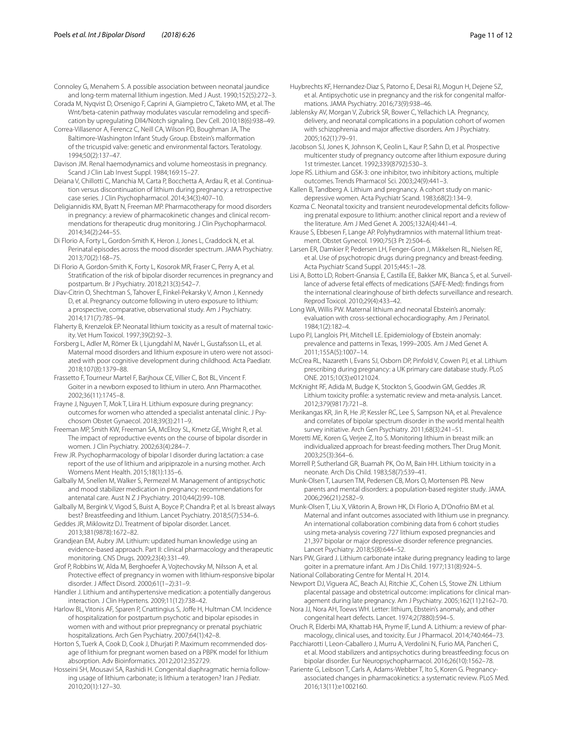<span id="page-10-42"></span>Connoley G, Menahem S. A possible association between neonatal jaundice and long-term maternal lithium ingestion. Med J Aust. 1990;152(5):272–3.

<span id="page-10-36"></span>Corada M, Nyqvist D, Orsenigo F, Caprini A, Giampietro C, Taketo MM, et al. The Wnt/beta-catenin pathway modulates vascular remodeling and specifcation by upregulating Dll4/Notch signaling. Dev Cell. 2010;18(6):938–49.

<span id="page-10-26"></span>Correa-Villasenor A, Ferencz C, Neill CA, Wilson PD, Boughman JA, The Baltimore-Washington Infant Study Group. Ebstein's malformation of the tricuspid valve: genetic and environmental factors. Teratology. 1994;50(2):137–47.

<span id="page-10-14"></span>Davison JM. Renal haemodynamics and volume homeostasis in pregnancy. Scand J Clin Lab Invest Suppl. 1984;169:15–27.

<span id="page-10-33"></span>Deiana V, Chillotti C, Manchia M, Carta P, Bocchetta A, Ardau R, et al. Continuation versus discontinuation of lithium during pregnancy: a retrospective case series. J Clin Psychopharmacol. 2014;34(3):407–10.

<span id="page-10-18"></span>Deligiannidis KM, Byatt N, Freeman MP. Pharmacotherapy for mood disorders in pregnancy: a review of pharmacokinetic changes and clinical recommendations for therapeutic drug monitoring. J Clin Psychopharmacol. 2014;34(2):244–55.

<span id="page-10-8"></span>Di Florio A, Forty L, Gordon-Smith K, Heron J, Jones L, Craddock N, et al. Perinatal episodes across the mood disorder spectrum. JAMA Psychiatry. 2013;70(2):168–75.

<span id="page-10-9"></span>Di Florio A, Gordon-Smith K, Forty L, Kosorok MR, Fraser C, Perry A, et al. Stratifcation of the risk of bipolar disorder recurrences in pregnancy and postpartum. Br J Psychiatry. 2018;213(3):542–7.

<span id="page-10-34"></span>Diav-Citrin O, Shechtman S, Tahover E, Finkel-Pekarsky V, Arnon J, Kennedy D, et al. Pregnancy outcome following in utero exposure to lithium: a prospective, comparative, observational study. Am J Psychiatry. 2014;171(7):785–94.

<span id="page-10-40"></span>Flaherty B, Krenzelok EP. Neonatal lithium toxicity as a result of maternal toxicity. Vet Hum Toxicol. 1997;39(2):92–3.

<span id="page-10-43"></span>Forsberg L, Adler M, Römer Ek I, Ljungdahl M, Navér L, Gustafsson LL, et al. Maternal mood disorders and lithium exposure in utero were not associated with poor cognitive development during childhood. Acta Paediatr. 2018;107(8):1379–88.

<span id="page-10-30"></span>Frassetto F, Tourneur Martel F, Barjhoux CE, Villier C, Bot BL, Vincent F. Goiter in a newborn exposed to lithium in utero. Ann Pharmacother. 2002;36(11):1745–8.

<span id="page-10-21"></span>Frayne J, Nguyen T, Mok T, Liira H. Lithium exposure during pregnancy: outcomes for women who attended a specialist antenatal clinic. J Psychosom Obstet Gynaecol. 2018;39(3):211–9.

<span id="page-10-10"></span>Freeman MP, Smith KW, Freeman SA, McElroy SL, Kmetz GE, Wright R, et al. The impact of reproductive events on the course of bipolar disorder in women. J Clin Psychiatry. 2002;63(4):284–7.

<span id="page-10-44"></span>Frew JR. Psychopharmacology of bipolar I disorder during lactation: a case report of the use of lithium and aripiprazole in a nursing mother. Arch Womens Ment Health. 2015;18(1):135–6.

<span id="page-10-35"></span>Galbally M, Snellen M, Walker S, Permezel M. Management of antipsychotic and mood stabilizer medication in pregnancy: recommendations for antenatal care. Aust N Z J Psychiatry. 2010;44(2):99–108.

<span id="page-10-46"></span>Galbally M, Bergink V, Vigod S, Buist A, Boyce P, Chandra P, et al. Is breast always best? Breastfeeding and lithium. Lancet Psychiatry. 2018;5(7):534–6.

<span id="page-10-0"></span>Geddes JR, Miklowitz DJ. Treatment of bipolar disorder. Lancet. 2013;381(9878):1672–82.

<span id="page-10-12"></span>Grandjean EM, Aubry JM. Lithium: updated human knowledge using an evidence-based approach. Part II: clinical pharmacology and therapeutic monitoring. CNS Drugs. 2009;23(4):331–49.

<span id="page-10-5"></span>Grof P, Robbins W, Alda M, Berghoefer A, Vojtechovsky M, Nilsson A, et al. Protective effect of pregnancy in women with lithium-responsive bipolar disorder. J Afect Disord. 2000;61(1–2):31–9.

<span id="page-10-15"></span>Handler J. Lithium and antihypertensive medication: a potentially dangerous interaction. J Clin Hypertens. 2009;11(12):738–42.

<span id="page-10-7"></span>Harlow BL, Vitonis AF, Sparen P, Cnattingius S, Joffe H, Hultman CM. Incidence of hospitalization for postpartum psychotic and bipolar episodes in women with and without prior prepregnancy or prenatal psychiatric hospitalizations. Arch Gen Psychiatry. 2007;64(1):42–8.

<span id="page-10-17"></span>Horton S, Tuerk A, Cook D, Cook J, Dhurjati P. Maximum recommended dosage of lithium for pregnant women based on a PBPK model for lithium absorption. Adv Bioinformatics. 2012;2012:352729.

<span id="page-10-29"></span>Hosseini SH, Mousavi SA, Rashidi H. Congenital diaphragmatic hernia following usage of lithium carbonate; is lithium a teratogen? Iran J Pediatr. 2010;20(1):127–30.

<span id="page-10-47"></span>Huybrechts KF, Hernandez-Diaz S, Patorno E, Desai RJ, Mogun H, Dejene SZ, et al. Antipsychotic use in pregnancy and the risk for congenital malformations. JAMA Psychiatry. 2016;73(9):938–46.

<span id="page-10-19"></span>Jablensky AV, Morgan V, Zubrick SR, Bower C, Yellachich LA. Pregnancy, delivery, and neonatal complications in a population cohort of women with schizophrenia and major afective disorders. Am J Psychiatry. 2005;162(1):79–91.

<span id="page-10-28"></span>Jacobson SJ, Jones K, Johnson K, Ceolin L, Kaur P, Sahn D, et al. Prospective multicenter study of pregnancy outcome after lithium exposure during 1st trimester. Lancet. 1992;339(8792):530–3.

<span id="page-10-37"></span>Jope RS. Lithium and GSK-3: one inhibitor, two inhibitory actions, multiple outcomes. Trends Pharmacol Sci. 2003;24(9):441–3.

<span id="page-10-38"></span>Kallen B, Tandberg A. Lithium and pregnancy. A cohort study on manicdepressive women. Acta Psychiatr Scand. 1983;68(2):134–9.

<span id="page-10-39"></span>Kozma C. Neonatal toxicity and transient neurodevelopmental deficits following prenatal exposure to lithium: another clinical report and a review of the literature. Am J Med Genet A. 2005;132A(4):441–4.

<span id="page-10-22"></span>Krause S, Ebbesen F, Lange AP. Polyhydramnios with maternal lithium treatment. Obstet Gynecol. 1990;75(3 Pt 2):504–6.

<span id="page-10-2"></span>Larsen ER, Damkier P, Pedersen LH, Fenger-Gron J, Mikkelsen RL, Nielsen RE, et al. Use of psychotropic drugs during pregnancy and breast-feeding. Acta Psychiatr Scand Suppl. 2015;445:1–28.

<span id="page-10-27"></span>Lisi A, Botto LD, Robert-Gnansia E, Castilla EE, Bakker MK, Bianca S, et al. Surveillance of adverse fetal effects of medications (SAFE-Med): findings from the international clearinghouse of birth defects surveillance and research. Reprod Toxicol. 2010;29(4):433–42.

<span id="page-10-32"></span>Long WA, Willis PW. Maternal lithium and neonatal Ebstein's anomaly: evaluation with cross-sectional echocardiography. Am J Perinatol. 1984;1(2):182–4.

<span id="page-10-24"></span>Lupo PJ, Langlois PH, Mitchell LE. Epidemiology of Ebstein anomaly: prevalence and patterns in Texas, 1999–2005. Am J Med Genet A. 2011;155A(5):1007–14.

<span id="page-10-3"></span>McCrea RL, Nazareth I, Evans SJ, Osborn DP, Pinfold V, Cowen PJ, et al. Lithium prescribing during pregnancy: a UK primary care database study. PLoS ONE. 2015;10(3):e0121024.

<span id="page-10-25"></span>McKnight RF, Adida M, Budge K, Stockton S, Goodwin GM, Geddes JR. Lithium toxicity profle: a systematic review and meta-analysis. Lancet. 2012;379(9817):721–8.

<span id="page-10-1"></span>Merikangas KR, Jin R, He JP, Kessler RC, Lee S, Sampson NA, et al. Prevalence and correlates of bipolar spectrum disorder in the world mental health survey initiative. Arch Gen Psychiatry. 2011;68(3):241–51.

<span id="page-10-45"></span>Moretti ME, Koren G, Verjee Z, Ito S. Monitoring lithium in breast milk: an individualized approach for breast-feeding mothers. Ther Drug Monit. 2003;25(3):364–6.

<span id="page-10-41"></span>Morrell P, Sutherland GR, Buamah PK, Oo M, Bain HH. Lithium toxicity in a neonate. Arch Dis Child. 1983;58(7):539–41.

<span id="page-10-6"></span>Munk-Olsen T, Laursen TM, Pedersen CB, Mors O, Mortensen PB. New parents and mental disorders: a population-based register study. JAMA. 2006;296(21):2582–9.

<span id="page-10-20"></span>Munk-Olsen T, Liu X, Viktorin A, Brown HK, Di Florio A, D'Onofrio BM et al. Maternal and infant outcomes associated with lithium use in pregnancy. An international collaboration combining data from 6 cohort studies using meta-analysis covering 727 lithium exposed pregnancies and 21,397 bipolar or major depressive disorder reference pregnancies. Lancet Psychiatry. 2018;5(8):644–52.

<span id="page-10-31"></span>Nars PW, Girard J. Lithium carbonate intake during pregnancy leading to large goiter in a premature infant. Am J Dis Child. 1977;131(8):924–5.

<span id="page-10-4"></span>National Collaborating Centre for Mental H. 2014.

<span id="page-10-16"></span>Newport DJ, Viguera AC, Beach AJ, Ritchie JC, Cohen LS, Stowe ZN. Lithium placental passage and obstetrical outcome: implications for clinical management during late pregnancy. Am J Psychiatry. 2005;162(11):2162–70.

<span id="page-10-23"></span>Nora JJ, Nora AH, Toews WH. Letter: lithium, Ebstein's anomaly, and other congenital heart defects. Lancet. 1974;2(7880):594–5. Oruch R, Elderbi MA, Khattab HA, Pryme IF, Lund A. Lithium: a review of phar-

<span id="page-10-11"></span>macology, clinical uses, and toxicity. Eur J Pharmacol. 2014;740:464–73.

<span id="page-10-48"></span>Pacchiarotti I, Leon-Caballero J, Murru A, Verdolini N, Furio MA, Pancheri C, et al. Mood stabilizers and antipsychotics during breastfeeding: focus on bipolar disorder. Eur Neuropsychopharmacol. 2016;26(10):1562–78.

<span id="page-10-13"></span>Pariente G, Leibson T, Carls A, Adams-Webber T, Ito S, Koren G. Pregnancyassociated changes in pharmacokinetics: a systematic review. PLoS Med. 2016;13(11):e1002160.